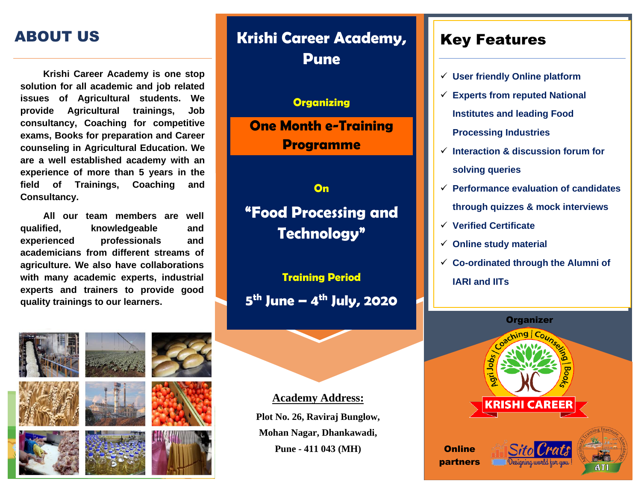### ABOUT US

**Krishi Career Academy is one stop solution for all academic and job related issues of Agricultural students. We provide Agricultural trainings, Job consultancy, Coaching for competitive exams, Books for preparation and Career counseling in Agricultural Education. We are a well established academy with an experience of more than 5 years in the field of Trainings, Coaching and Consultancy.**

**All our team members are well qualified, knowledgeable and experienced professionals and academicians from different streams of agriculture. We also have collaborations with many academic experts, industrial experts and trainers to provide good quality trainings to our learners.**



# **Krishi Career Academy, Pune**

#### **Organizing**

**One Month e-Training Programme**

**On "Food Processing and Technology"**

**Training Period 5 th June – 4 th July, 2020**

**Academy Address: Plot No. 26, Raviraj Bunglow, Mohan Nagar, Dhankawadi, Pune - 411 043 (MH) Dnline** 

#### Key Features

- ✓ **User friendly Online platform**
- ✓ **Experts from reputed National Institutes and leading Food Processing Industries**
- ✓ **Interaction & discussion forum for solving queries**
- ✓ **Performance evaluation of candidates through quizzes & mock interviews**
- ✓ **Verified Certificate**
- ✓ **Online study material**
- ✓ **Co-ordinated through the Alumni of IARI and IITs**